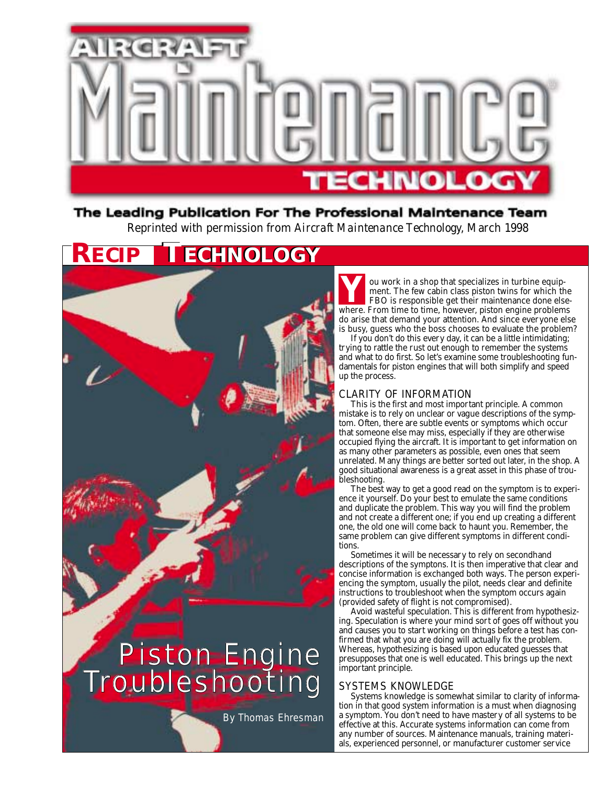

# The Leading Publication For The Professional Maintenance Team Reprinted with permission from *Aircraft Maintenance Technology*, March 1998

# **RECIP TECHNOLOGY ECHNOLOGY**



*By Thomas Ehresman*

ou work in a shop that specializes in turbine equipment. The few cabin class piston twins for which the FBO is responsible get their maintenance done else-**Y** ou work in a shop that specializes in turbine equipment. The few cabin class piston twins for which the FBO is responsible get their maintenance done elsewhere. From time to time, however, piston engine problems do arise that demand your attention. And since everyone else is busy, guess who the boss chooses to evaluate the problem?

If you don't do this every day, it can be a little intimidating; trying to rattle the rust out enough to remember the systems and what to do first. So let's examine some troubleshooting fundamentals for piston engines that will both simplify and speed up the process.

# CLARITY OF INFORMATION

This is the first and most important principle. A common mistake is to rely on unclear or vague descriptions of the symptom. Often, there are subtle events or symptoms which occur that someone else may miss, especially if they are otherwise occupied flying the aircraft. It is important to get information on as many other parameters as possible, even ones that seem unrelated. Many things are better sorted out later, in the shop. A good situational awareness is a great asset in this phase of troubleshooting.

The best way to get a good read on the symptom is to experience it yourself. Do your best to emulate the same conditions and duplicate the problem. This way you will find the problem and not create a different one; if you end up creating a different one, the old one will come back to haunt you. Remember, the same problem can give different symptoms in different conditions.

Sometimes it will be necessary to rely on secondhand descriptions of the symptons. It is then imperative that clear and concise information is exchanged both ways. The person experiencing the symptom, usually the pilot, needs clear and definite instructions to troubleshoot when the symptom occurs again (provided safety of flight is not compromised).

Avoid wasteful speculation. This is different from hypothesizing. Speculation is where your mind sort of goes off without you and causes you to start working on things before a test has confirmed that what you are doing will actually fix the problem. Whereas, hypothesizing is based upon educated guesses that presupposes that one is well educated. This brings up the next important principle.

# SYSTEMS KNOWLEDGE

Systems knowledge is somewhat similar to clarity of information in that good system information is a must when diagnosing a symptom. You don't need to have mastery of all systems to be effective at this. Accurate systems information can come from any number of sources. Maintenance manuals, training materials, experienced personnel, or manufacturer customer service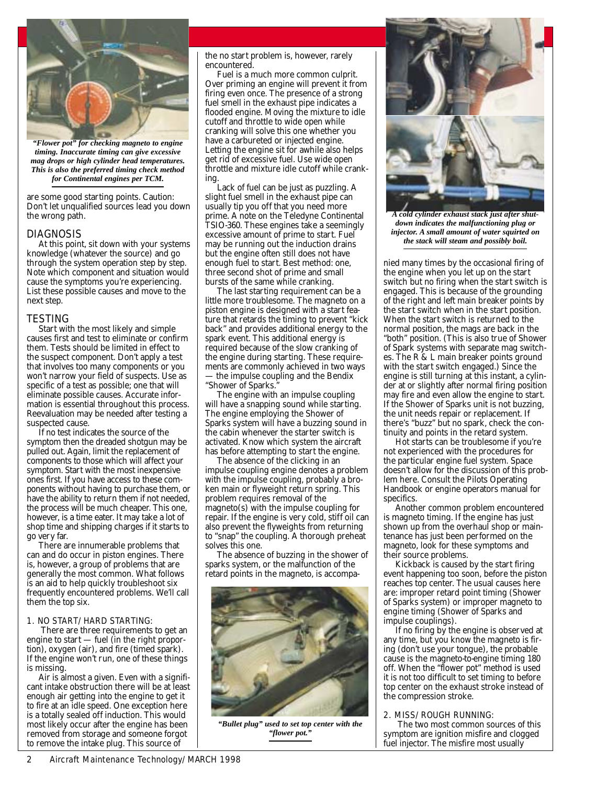

*"Flower pot" for checking magneto to engine timing. Inaccurate timing can give excessive mag drops or high cylinder head temperatures. This is also the preferred timing check method for Continental engines per TCM.*

are some good starting points. Caution: Don't let unqualified sources lead you down the wrong path.

## DIAGNOSIS

At this point, sit down with your systems knowledge (whatever the source) and go through the system operation step by step. Note which component and situation would cause the symptoms you're experiencing. List these possible causes and move to the next step.

## TESTING

Start with the most likely and simple causes first and test to eliminate or confirm them. Tests should be limited in effect to the suspect component. Don't apply a test that involves too many components or you won't narrow your field of suspects. Use as specific of a test as possible; one that will eliminate possible causes. Accurate information is essential throughout this process. Reevaluation may be needed after testing a suspected cause.

If no test indicates the source of the symptom then the dreaded shotgun may be pulled out. Again, limit the replacement of components to those which will affect your symptom. Start with the most inexpensive ones first. If you have access to these components without having to purchase them, or have the ability to return them if not needed, the process will be much cheaper. This one, however, is a time eater. It may take a lot of shop time and shipping charges if it starts to go very far.

There are innumerable problems that can and do occur in piston engines. There is, however, a group of problems that are generally the most common. What follows is an aid to help quickly troubleshoot six frequently encountered problems. We'll call them the top six.

## *1. NO START/HARD STARTING:*

There are three requirements to get an engine to start — fuel (in the right proportion), oxygen (air), and fire (timed spark). If the engine won't run, one of these things is missing.

Air is almost a given. Even with a significant intake obstruction there will be at least enough air getting into the engine to get it to fire at an idle speed. One exception here is a totally sealed off induction. This would most likely occur after the engine has been removed from storage and someone forgot to remove the intake plug. This source of

the no start problem is, however, rarely encountered.

Fuel is a much more common culprit. Over priming an engine will prevent it from firing even once. The presence of a strong fuel smell in the exhaust pipe indicates a flooded engine. Moving the mixture to idle cutoff and throttle to wide open while cranking will solve this one whether you have a carbureted or injected engine. Letting the engine sit for awhile also helps get rid of excessive fuel. Use wide open throttle and mixture idle cutoff while cranking.

Lack of fuel can be just as puzzling. A slight fuel smell in the exhaust pipe can usually tip you off that you need more prime. A note on the Teledyne Continental TSIO-360. These engines take a seemingly excessive amount of prime to start. Fuel may be running out the induction drains but the engine often still does not have enough fuel to start. Best method: one, three second shot of prime and small bursts of the same while cranking.

The last starting requirement can be a little more troublesome. The magneto on a piston engine is designed with a start feature that retards the timing to prevent "kick back" and provides additional energy to the spark event. This additional energy is required because of the slow cranking of the engine during starting. These requirements are commonly achieved in two ways the impulse coupling and the Bendix

"Shower of Sparks."

The engine with an impulse coupling will have a snapping sound while starting. The engine employing the Shower of Sparks system will have a buzzing sound in the cabin whenever the starter switch is activated. Know which system the aircraft has before attempting to start the engine.

The absence of the clicking in an impulse coupling engine denotes a problem with the impulse coupling, probably a broken main or flyweight return spring. This problem requires removal of the magneto(s) with the impulse coupling for repair. If the engine is very cold, stiff oil can also prevent the flyweights from returning to "snap" the coupling. A thorough preheat solves this one.

The absence of buzzing in the shower of sparks system, or the malfunction of the retard points in the magneto, is accompa-



*"Bullet plug" used to set top center with the "flower pot."*



*A cold cylinder exhaust stack just after shutdown indicates the malfunctioning plug or injector. A small amount of water squirted on the stack will steam and possibly boil.*

nied many times by the occasional firing of the engine when you let up on the start switch but no firing when the start switch is engaged. This is because of the grounding of the right and left main breaker points by the start switch when in the start position. When the start switch is returned to the normal position, the mags are back in the "both" position. (This is also true of Shower of Spark systems with separate mag switches. The R & L main breaker points ground with the start switch engaged.) Since the engine is still turning at this instant, a cylinder at or slightly after normal firing position may fire and even allow the engine to start. If the Shower of Sparks unit is not buzzing, the unit needs repair or replacement. If there's "buzz" but no spark, check the continuity and points in the retard system.

Hot starts can be troublesome if you're not experienced with the procedures for the particular engine fuel system. Space doesn't allow for the discussion of this problem here. Consult the Pilots Operating Handbook or engine operators manual for specifics.

Another common problem encountered is magneto timing. If the engine has just shown up from the overhaul shop or maintenance has just been performed on the magneto, look for these symptoms and their source problems.

Kickback is caused by the start firing event happening too soon, before the piston reaches top center. The usual causes here are: improper retard point timing (Shower of Sparks system) or improper magneto to engine timing (Shower of Sparks and impulse couplings).

If no firing by the engine is observed at any time, but you know the magneto is firing (don't use your tongue), the probable cause is the magneto-to-engine timing 180 off. When the "flower pot" method is used it is not too difficult to set timing to before top center on the exhaust stroke instead of the compression stroke.

## *2. MISS/ROUGH RUNNING:*

The two most common sources of this symptom are ignition misfire and clogged fuel injector. The misfire most usually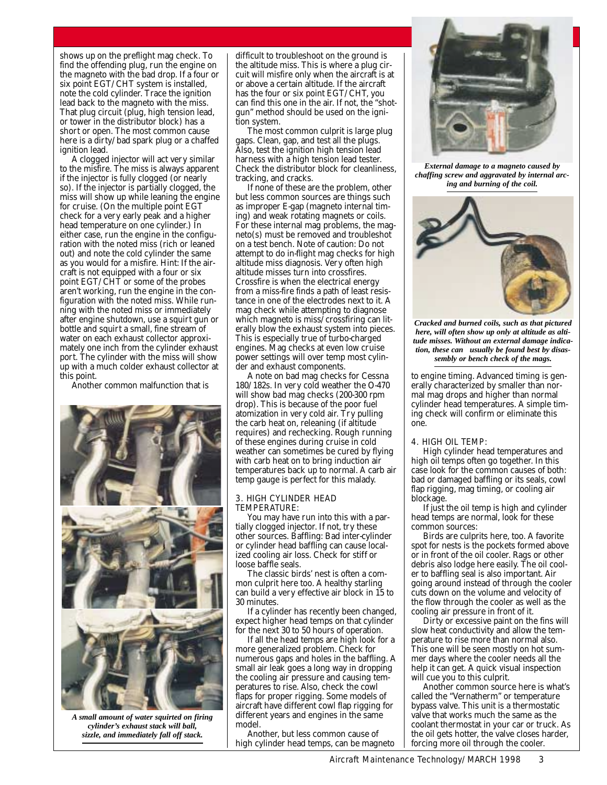shows up on the preflight mag check. To find the offending plug, run the engine on the magneto with the bad drop. If a four or six point EGT/CHT system is installed, note the cold cylinder. Trace the ignition lead back to the magneto with the miss. That plug circuit (plug, high tension lead, or tower in the distributor block) has a short or open. The most common cause here is a dirty/bad spark plug or a chaffed ignition lead.

A clogged injector will act very similar to the misfire. The miss is always apparent if the injector is fully clogged (or nearly so). If the injector is partially clogged, the miss will show up while leaning the engine for cruise. (On the multiple point EGT check for a very early peak and a higher head temperature on one cylinder.) In either case, run the engine in the configuration with the noted miss (rich or leaned out) and note the cold cylinder the same as you would for a misfire. Hint: If the aircraft is not equipped with a four or six point  $EGT/CHT$  or some of the probes aren't working, run the engine in the configuration with the noted miss. While running with the noted miss or immediately after engine shutdown, use a squirt gun or bottle and squirt a small, fine stream of water on each exhaust collector approximately one inch from the cylinder exhaust port. The cylinder with the miss will show up with a much colder exhaust collector at this point.

Another common malfunction that is



*A small amount of water squirted on firing cylinder's exhaust stack will ball, sizzle, and immediately fall off stack.*

difficult to troubleshoot on the ground is the altitude miss. This is where a plug circuit will misfire only when the aircraft is at or above a certain altitude. If the aircraft has the four or six point EGT/CHT, you can find this one in the air. If not, the "shotgun" method should be used on the ignition system.

The most common culprit is large plug gaps. Clean, gap, and test all the plugs. Also, test the ignition high tension lead harness with a high tension lead tester. Check the distributor block for cleanliness, tracking, and cracks.

If none of these are the problem, other but less common sources are things such as improper E-gap (magneto internal timing) and weak rotating magnets or coils. For these internal mag problems, the magneto(s) must be removed and troubleshot on a test bench. Note of caution: Do not attempt to do in-flight mag checks for high altitude miss diagnosis. Very often high altitude misses turn into crossfires. Crossfire is when the electrical energy from a miss-fire finds a path of least resistance in one of the electrodes next to it. A mag check while attempting to diagnose which magneto is miss/crossfiring can literally blow the exhaust system into pieces. This is especially true of turbo-charged engines. Mag checks at even low cruise power settings will over temp most cylinder and exhaust components.

A note on bad mag checks for Cessna 180/182s. In very cold weather the O-470 will show bad mag checks (200-300 rpm drop). This is because of the poor fuel atomization in very cold air. Try pulling the carb heat on, releaning (if altitude requires) and rechecking. Rough running of these engines during cruise in cold weather can sometimes be cured by flying with carb heat on to bring induction air temperatures back up to normal. A carb air temp gauge is perfect for this malady.

#### *3. HIGH CYLINDER HEAD TEMPERATURE:*

You may have run into this with a partially clogged injector. If not, try these other sources. Baffling: Bad inter-cylinder or cylinder head baffling can cause localized cooling air loss. Check for stiff or loose baffle seals.

The classic birds' nest is often a common culprit here too. A healthy starling can build a very effective air block in 15 to 30 minutes.

If a cylinder has recently been changed, expect higher head temps on that cylinder for the next 30 to 50 hours of operation.

If all the head temps are high look for a more generalized problem. Check for numerous gaps and holes in the baffling. A small air leak goes a long way in dropping the cooling air pressure and causing temperatures to rise. Also, check the cowl flaps for proper rigging. Some models of aircraft have different cowl flap rigging for different years and engines in the same model.

Another, but less common cause of high cylinder head temps, can be magneto



*External damage to a magneto caused by chaffing screw and aggravated by internal arcing and burning of the coil.*



*Cracked and burned coils, such as that pictured here, will often show up only at altitude as altitude misses. Without an external damage indication, these can usually be found best by disassembly or bench check of the mags.*

to engine timing. Advanced timing is generally characterized by smaller than normal mag drops and higher than normal cylinder head temperatures. A simple timing check will confirm or eliminate this one.

#### *4. HIGH OIL TEMP:*

High cylinder head temperatures and high oil temps often go together. In this case look for the common causes of both: bad or damaged baffling or its seals, cowl flap rigging, mag timing, or cooling air blockage.

If just the oil temp is high and cylinder head temps are normal, look for these common sources:

Birds are culprits here, too. A favorite spot for nests is the pockets formed above or in front of the oil cooler. Rags or other debris also lodge here easily. The oil cooler to baffling seal is also important. Air going around instead of through the cooler cuts down on the volume and velocity of the flow through the cooler as well as the cooling air pressure in front of it.

Dirty or excessive paint on the fins will slow heat conductivity and allow the temperature to rise more than normal also. This one will be seen mostly on hot summer days where the cooler needs all the help it can get. A quick visual inspection will cue you to this culprit.

Another common source here is what's called the "Vernatherm" or temperature bypass valve. This unit is a thermostatic valve that works much the same as the coolant thermostat in your car or truck. As the oil gets hotter, the valve closes harder, forcing more oil through the cooler.